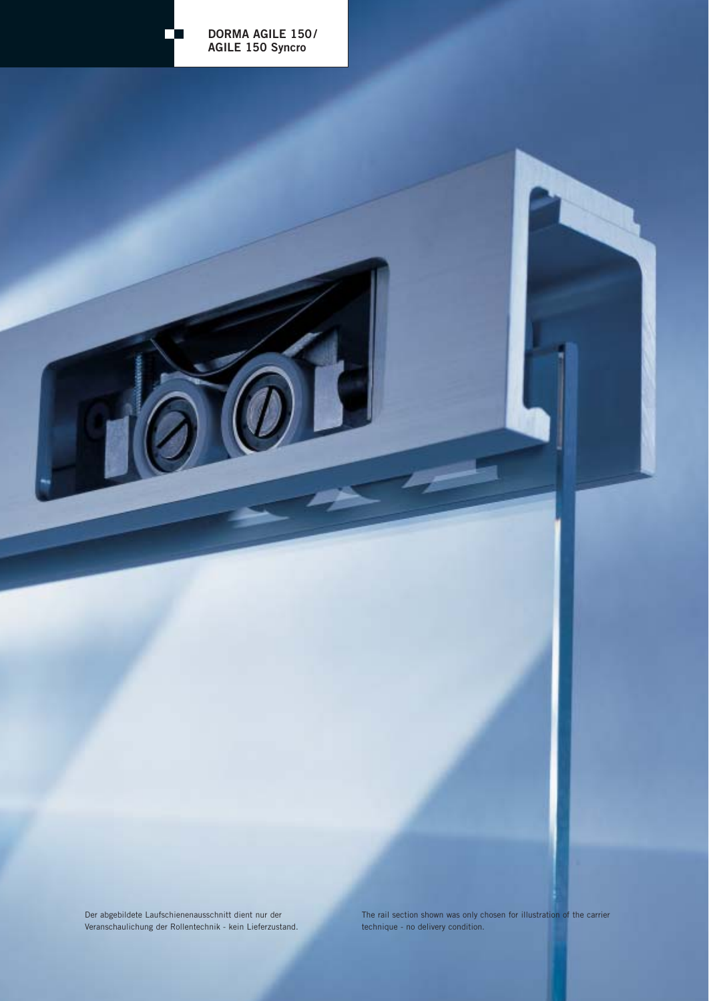

Der abgebildete Laufschienenausschnitt dient nur der Veranschaulichung der Rollentechnik - kein Lieferzustand. The rail section shown was only chosen for illustration of the carrier technique - no delivery condition.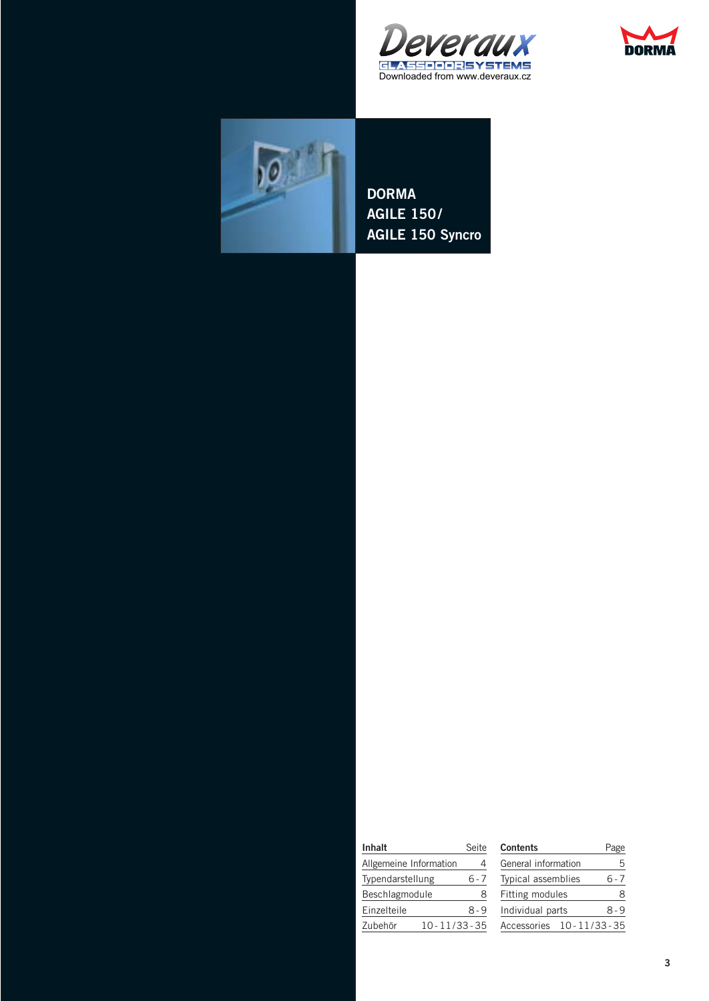





**DORMA AGILE 150/ AGILE 150 Syncro**

| <b>Inhalt</b>          |                   | Seite |
|------------------------|-------------------|-------|
| Allgemeine Information |                   | 4     |
| Typendarstellung       |                   | 6 - 7 |
| Beschlagmodule         |                   | 8     |
| Einzelteile            |                   | 8-9   |
| Zubehör                | $10 - 11/33 - 35$ |       |

| <b>Contents</b>           |  | Page  |
|---------------------------|--|-------|
| General information       |  | 5     |
| <b>Typical assemblies</b> |  | 6 - 7 |
| Fitting modules           |  | 8     |
| Individual parts          |  | 8-9   |
| Accessories 10-11/33-35   |  |       |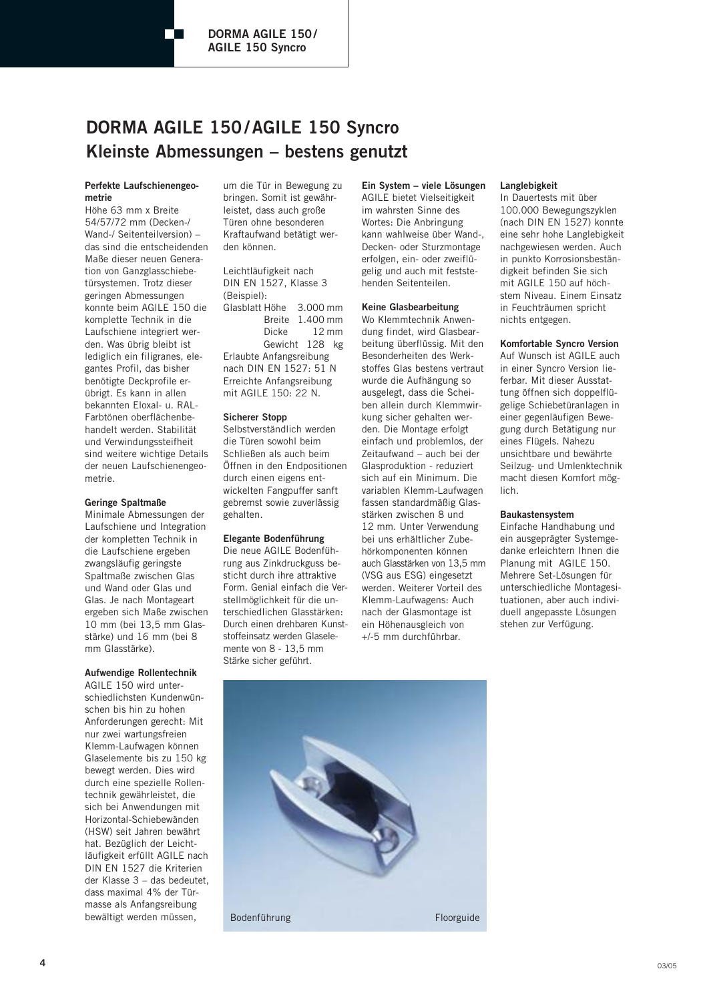# **DORMA AGILE 150/AGILE 150 Syncro Kleinste Abmessungen – bestens genutzt**

#### **Perfekte Laufschienengeometrie**

Höhe 63 mm x Breite 54/57/72 mm (Decken-/ Wand-/ Seitenteilversion) – das sind die entscheidenden Maße dieser neuen Generation von Ganzglasschiebetürsystemen. Trotz dieser geringen Abmessungen konnte beim AGILE 150 die komplette Technik in die Laufschiene integriert werden. Was übrig bleibt ist lediglich ein filigranes, elegantes Profil, das bisher benötigte Deckprofile erübrigt. Es kann in allen bekannten Eloxal- u. RAL-Farbtönen oberflächenbehandelt werden. Stabilität und Verwindungssteifheit sind weitere wichtige Details der neuen Laufschienengeometrie.

#### **Geringe Spaltmaße**

Minimale Abmessungen der Laufschiene und Integration der kompletten Technik in die Laufschiene ergeben zwangsläufig geringste Spaltmaße zwischen Glas und Wand oder Glas und Glas. Je nach Montageart ergeben sich Maße zwischen 10 mm (bei 13,5 mm Glasstärke) und 16 mm (bei 8 mm Glasstärke).

#### **Aufwendige Rollentechnik**

AGILE 150 wird unterschiedlichsten Kundenwünschen bis hin zu hohen Anforderungen gerecht: Mit nur zwei wartungsfreien Klemm-Laufwagen können Glaselemente bis zu 150 kg bewegt werden. Dies wird durch eine spezielle Rollentechnik gewährleistet, die sich bei Anwendungen mit Horizontal-Schiebewänden (HSW) seit Jahren bewährt hat. Bezüglich der Leichtläufigkeit erfüllt AGILE nach DIN EN 1527 die Kriterien der Klasse 3 – das bedeutet, dass maximal 4% der Türmasse als Anfangsreibung bewältigt werden müssen,

um die Tür in Bewegung zu bringen. Somit ist gewährleistet, dass auch große Türen ohne besonderen Kraftaufwand betätigt werden können.

Leichtläufigkeit nach DIN EN 1527, Klasse 3 (Beispiel):

Glasblatt Höhe 3.000 mm Breite 1.400 mm Dicke 12 mm Gewicht 128 kg Erlaubte Anfangsreibung nach DIN EN 1527: 51 N Erreichte Anfangsreibung mit AGILE 150: 22 N.

#### **Sicherer Stopp**

Selbstverständlich werden die Türen sowohl beim Schließen als auch beim Öffnen in den Endpositionen durch einen eigens entwickelten Fangpuffer sanft gebremst sowie zuverlässig gehalten.

#### **Elegante Bodenführung**

Die neue AGILE Bodenführung aus Zinkdruckguss besticht durch ihre attraktive Form. Genial einfach die Verstellmöglichkeit für die unterschiedlichen Glasstärken: Durch einen drehbaren Kunststoffeinsatz werden Glaselemente von 8 - 13,5 mm Stärke sicher geführt.

#### **Ein System – viele Lösungen**

AGILE bietet Vielseitigkeit im wahrsten Sinne des Wortes: Die Anbringung kann wahlweise über Wand-, Decken- oder Sturzmontage erfolgen, ein- oder zweiflügelig und auch mit feststehenden Seitenteilen.

#### **Keine Glasbearbeitung**

Wo Klemmtechnik Anwendung findet, wird Glasbearbeitung überflüssig. Mit den Besonderheiten des Werkstoffes Glas bestens vertraut wurde die Aufhängung so ausgelegt, dass die Scheiben allein durch Klemmwirkung sicher gehalten werden. Die Montage erfolgt einfach und problemlos, der Zeitaufwand – auch bei der Glasproduktion - reduziert sich auf ein Minimum. Die variablen Klemm-Laufwagen fassen standardmäßig Glasstärken zwischen 8 und 12 mm. Unter Verwendung bei uns erhältlicher Zubehörkomponenten können auch Glasstärken von 13,5 mm (VSG aus ESG) eingesetzt werden. Weiterer Vorteil des Klemm-Laufwagens: Auch nach der Glasmontage ist ein Höhenausgleich von +/-5 mm durchführbar.

#### **Langlebigkeit**

In Dauertests mit über 100.000 Bewegungszyklen (nach DIN EN 1527) konnte eine sehr hohe Langlebigkeit nachgewiesen werden. Auch in punkto Korrosionsbeständigkeit befinden Sie sich mit AGILE 150 auf höchstem Niveau. Einem Einsatz in Feuchträumen spricht nichts entgegen.

#### **Komfortable Syncro Version**

Auf Wunsch ist AGILE auch in einer Syncro Version lieferbar. Mit dieser Ausstattung öffnen sich doppelflügelige Schiebetüranlagen in einer gegenläufigen Bewegung durch Betätigung nur eines Flügels. Nahezu unsichtbare und bewährte Seilzug- und Umlenktechnik macht diesen Komfort möglich.

#### **Baukastensystem**

Einfache Handhabung und ein ausgeprägter Systemgedanke erleichtern Ihnen die Planung mit AGILE 150. Mehrere Set-Lösungen für unterschiedliche Montagesituationen, aber auch individuell angepasste Lösungen stehen zur Verfügung.

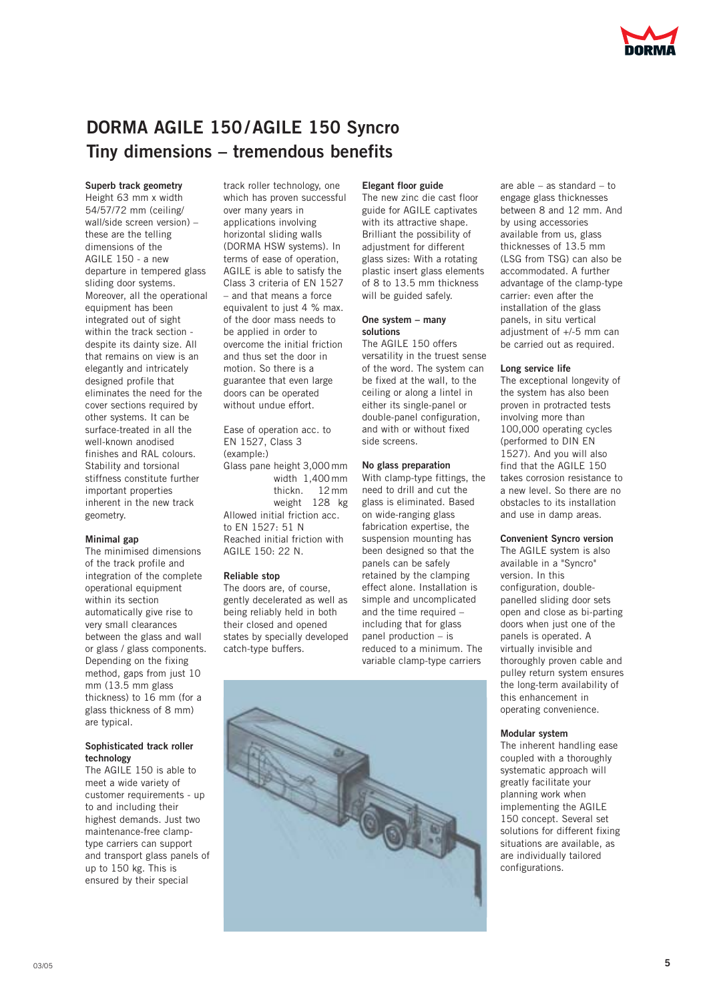# **DORMA AGILE 150/AGILE 150 Syncro Tiny dimensions – tremendous benefits**

#### **Superb track geometry**

Height 63 mm x width 54/57/72 mm (ceiling/ wall/side screen version) – these are the telling dimensions of the AGILE 150 - a new departure in tempered glass sliding door systems. Moreover, all the operational equipment has been integrated out of sight within the track section despite its dainty size. All that remains on view is an elegantly and intricately designed profile that eliminates the need for the cover sections required by other systems. It can be surface-treated in all the well-known anodised finishes and RAL colours. Stability and torsional stiffness constitute further important properties inherent in the new track geometry.

#### **Minimal gap**

The minimised dimensions of the track profile and integration of the complete operational equipment within its section automatically give rise to very small clearances between the glass and wall or glass / glass components. Depending on the fixing method, gaps from just 10 mm (13.5 mm glass thickness) to 16 mm (for a glass thickness of 8 mm) are typical.

#### **Sophisticated track roller technology**

The AGILE 150 is able to meet a wide variety of customer requirements - up to and including their highest demands. Just two maintenance-free clamptype carriers can support and transport glass panels of up to 150 kg. This is ensured by their special

track roller technology, one which has proven successful over many years in applications involving horizontal sliding walls (DORMA HSW systems). In terms of ease of operation, AGILE is able to satisfy the Class 3 criteria of EN 1527 – and that means a force equivalent to just 4 % max. of the door mass needs to be applied in order to overcome the initial friction and thus set the door in motion. So there is a guarantee that even large doors can be operated without undue effort.

Ease of operation acc. to EN 1527, Class 3 (example:) Glass pane height 3,000mm width 1,400 mm thickn. 12mm weight 128 kg Allowed initial friction acc. to EN 1527: 51 N Reached initial friction with AGILE 150: 22 N.

#### **Reliable stop**

The doors are, of course, gently decelerated as well as being reliably held in both their closed and opened states by specially developed catch-type buffers.

#### **Elegant floor guide**

The new zinc die cast floor guide for AGILE captivates with its attractive shape. Brilliant the possibility of adjustment for different glass sizes: With a rotating plastic insert glass elements of 8 to 13.5 mm thickness will be guided safely.

#### **One system – many solutions**

The AGILE 150 offers versatility in the truest sense of the word. The system can be fixed at the wall, to the ceiling or along a lintel in either its single-panel or double-panel configuration, and with or without fixed side screens.

#### **No glass preparation**

With clamp-type fittings, the need to drill and cut the glass is eliminated. Based on wide-ranging glass fabrication expertise, the suspension mounting has been designed so that the panels can be safely retained by the clamping effect alone. Installation is simple and uncomplicated and the time required – including that for glass panel production – is reduced to a minimum. The variable clamp-type carriers



are able – as standard – to engage glass thicknesses between 8 and 12 mm. And by using accessories available from us, glass thicknesses of 13.5 mm (LSG from TSG) can also be accommodated. A further advantage of the clamp-type carrier: even after the installation of the glass panels, in situ vertical adjustment of +/-5 mm can be carried out as required.

#### **Long service life**

The exceptional longevity of the system has also been proven in protracted tests involving more than 100,000 operating cycles (performed to DIN EN 1527). And you will also find that the AGILE 150 takes corrosion resistance to a new level. So there are no obstacles to its installation and use in damp areas.

#### **Convenient Syncro version**

The AGILE system is also available in a "Syncro" version. In this configuration, doublepanelled sliding door sets open and close as bi-parting doors when just one of the panels is operated. A virtually invisible and thoroughly proven cable and pulley return system ensures the long-term availability of this enhancement in operating convenience.

#### **Modular system**

The inherent handling ease coupled with a thoroughly systematic approach will greatly facilitate your planning work when implementing the AGILE 150 concept. Several set solutions for different fixing situations are available, as are individually tailored configurations.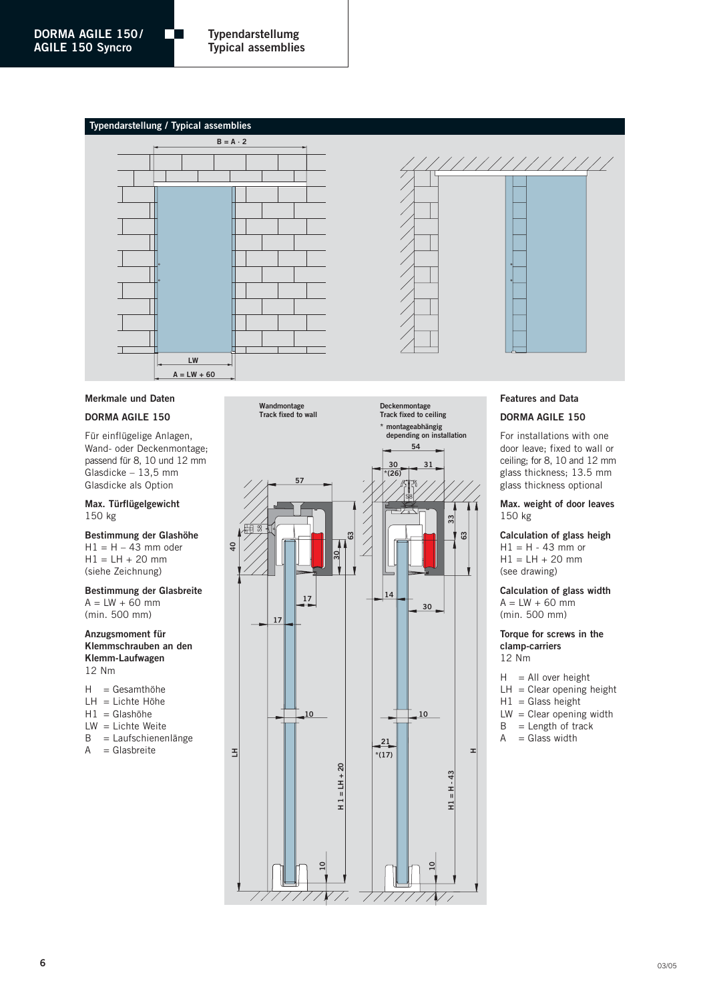#### **Typendarstellung / Typical assemblies**

m





#### **DORMA AGILE 150**

Für einflügelige Anlagen, Wand- oder Deckenmontage; passend für 8, 10 und 12 mm Glasdicke – 13,5 mm Glasdicke als Option

#### **Max. Türflügelgewicht** 150 kg

**Bestimmung der Glashöhe**  $H1 = H - 43$  mm oder  $H1 = LH + 20$  mm (siehe Zeichnung)

#### **Bestimmung der Glasbreite**  $A = LW + 60$  mm (min. 500 mm)

#### **Anzugsmoment für Klemmschrauben an den Klemm-Laufwagen** 12 Nm

- H = Gesamthöhe
- LH = Lichte Höhe
- $H1 = G$ lashöhe
- LW = Lichte Weite
- B = Laufschienenlänge
- A = Glasbreite

**Wandmontage Track fixed to wall**



**Deckenmontage Track fixed to ceiling**



///////////

#### **Features and Data**

#### **DORMA AGILE 150**

For installations with one door leave; fixed to wall or ceiling; for 8, 10 and 12 mm glass thickness; 13.5 mm glass thickness optional

**Max. weight of door leaves** 150 kg

**Calculation of glass heigh**  $H1 = H - 43$  mm or  $H1 = LH + 20$  mm (see drawing)

**Calculation of glass width**  $A = LW + 60$  mm (min. 500 mm)

**Torque for screws in the clamp-carriers** 12 Nm

- $H = All over height$
- $LH = C$ lear opening height
- $H1 =$  Glass height
- $LW = C$ lear opening width
- $B =$  Length of track
- $A = Glass width$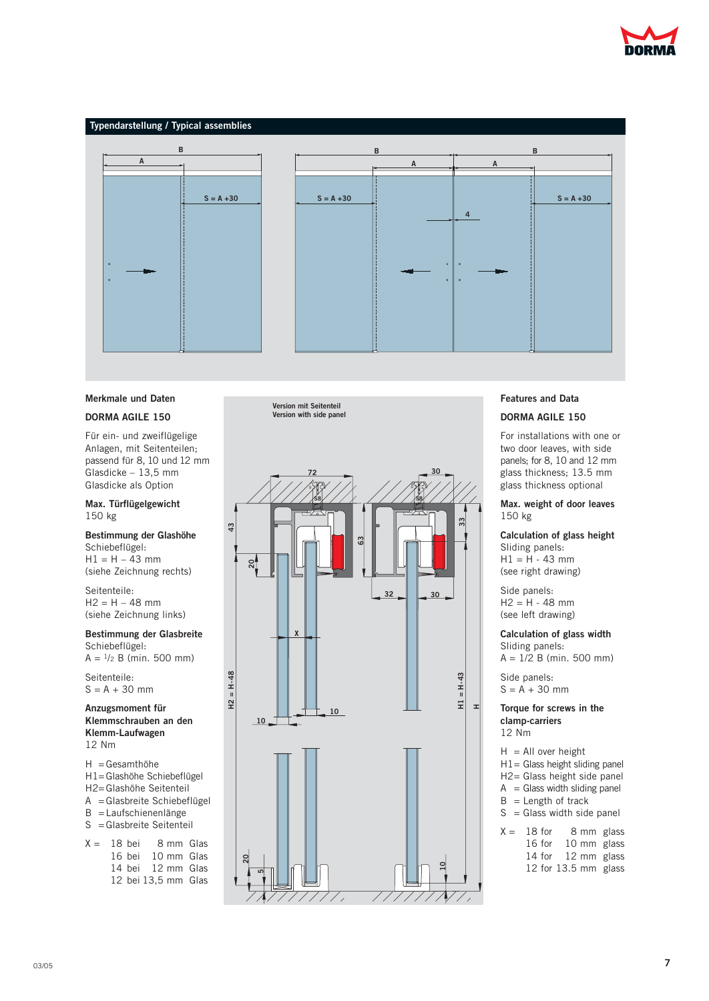



#### **Merkmale und Daten**

#### **DORMA AGILE 150**

Für ein- und zweiflügelige Anlagen, mit Seitenteilen; passend für 8, 10 und 12 mm Glasdicke – 13,5 mm Glasdicke als Option

#### **Max. Türflügelgewicht** 150 kg

**Bestimmung der Glashöhe**

Schiebeflügel:  $H1 = H - 43$  mm (siehe Zeichnung rechts)

Seitenteile:  $H2 = H - 48$  mm (siehe Zeichnung links)

**Bestimmung der Glasbreite** Schiebeflügel:  $A = \frac{1}{2}B$  (min. 500 mm)

Seitenteile:

 $S = A + 30$  mm

**Anzugsmoment für Klemmschrauben an den Klemm-Laufwagen** 12 Nm

H =Gesamthöhe H1=Glashöhe Schiebeflügel H2=Glashöhe Seitenteil A =Glasbreite Schiebeflügel B =Laufschienenlänge

- S =Glasbreite Seitenteil
- $X = 18$  bei 8 mm Glas 16 bei 10 mm Glas 14 bei 12 mm Glas 12 bei 13,5 mm Glas

**Version mit Seitenteil Version with side panel**



#### **Features and Data**

#### **DORMA AGILE 150**

For installations with one or two door leaves, with side panels; for 8, 10 and 12 mm glass thickness; 13.5 mm glass thickness optional

**Max. weight of door leaves** 150 kg

**Calculation of glass height** Sliding panels:  $H1 = H - 43$  mm

(see right drawing) Side panels:

 $H2 = H - 48$  mm (see left drawing)

#### **Calculation of glass width**

Sliding panels: A = 1/2 B (min. 500 mm)

Side panels:  $S = A + 30$  mm

**Torque for screws in the clamp-carriers** 12 Nm

 $H = All over height$ 

- H1= Glass height sliding panel
- H2= Glass height side panel
- $A = G$ lass width sliding panel
- $B =$  Length of track
- $S = G$  lass width side panel
- $X = 18$  for 8 mm glass 16 for 10 mm glass 14 for 12 mm glass 12 for 13.5 mm glass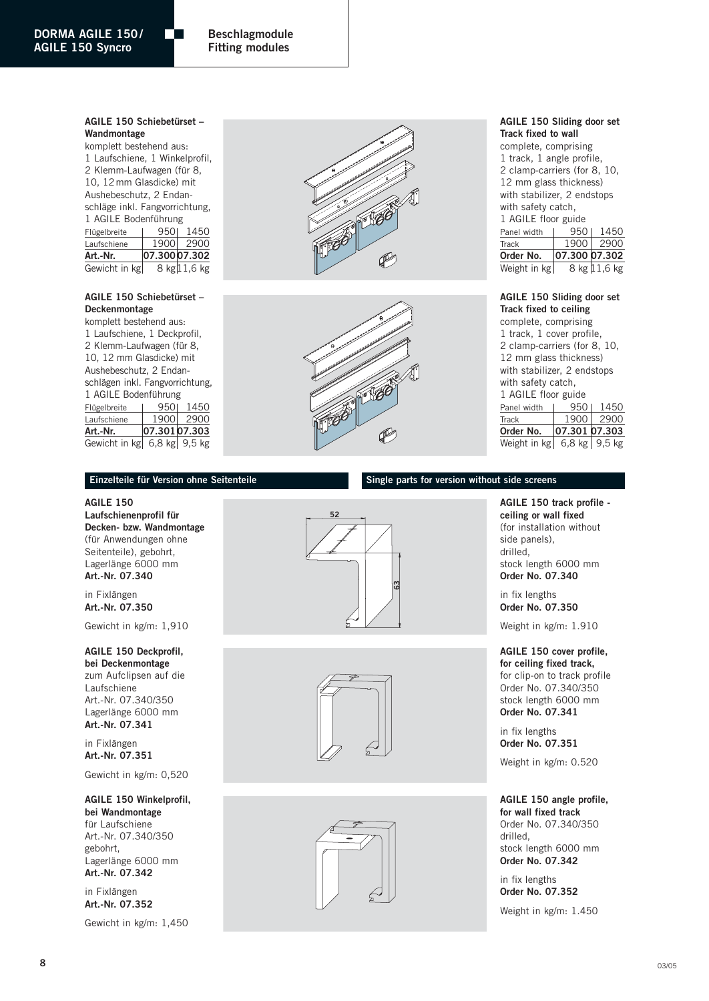#### **Beschlagmodule Fitting modules**

#### **AGILE 150 Schiebetürset – Wandmontage**

m

komplett bestehend aus: 1 Laufschiene, 1 Winkelprofil, 2 Klemm-Laufwagen (für 8, 10, 12mm Glasdicke) mit Aushebeschutz, 2 Endanschläge inkl. Fangvorrichtung, 1 AGILE Bodenführung Flügelbreite | 950 1450 Laufschiene 1900 2900 **Art.-Nr. 07.300 07.302** Gewicht in kg  $8$  kg 11,6 kg

### **AGILE 150 Schiebetürset – Deckenmontage**

komplett bestehend aus: 1 Laufschiene, 1 Deckprofil, 2 Klemm-Laufwagen (für 8, 10, 12 mm Glasdicke) mit Aushebeschutz, 2 Endanschlägen inkl. Fangvorrichtung, 1 AGILE Bodenführung Flügelbreite | 950 1450 Laufschiene 1900 2900 **Art.-Nr. 07.301 07.303** Gewicht in kg 6,8 kg 9,5 kg





#### **AGILE 150 Sliding door set Track fixed to wall**

complete, comprising 1 track, 1 angle profile, 2 clamp-carriers (for 8, 10, 12 mm glass thickness) with stabilizer, 2 endstops with safety catch, 1 AGILE floor guide Panel width | 950 | 1450 Track 1900 2900 **Order No. 07.300 07.302** Weight in kg  $8 \text{ kg}$  11,6 kg

#### **AGILE 150 Sliding door set Track fixed to ceiling**

complete, comprising 1 track, 1 cover profile, 2 clamp-carriers (for 8, 10, 12 mm glass thickness) with stabilizer, 2 endstops with safety catch, 1 AGILE floor guide Panel width | 950 | 1450 Track 1900 2900<br>Order No. 07.301 07.303 **Order No. 07.301 07.303** Weight in kg  $6,8$  kg  $9,5$  kg

#### **Einzelteile für Version ohne Seitenteile**

**AGILE 150 Laufschienenprofil für Decken- bzw. Wandmontage** (für Anwendungen ohne Seitenteile), gebohrt, Lagerlänge 6000 mm **Art.-Nr. 07.340**

in Fixlängen **Art.-Nr. 07.350**

Gewicht in kg/m: 1,910

### **AGILE 150 Deckprofil,**

**bei Deckenmontage** zum Aufclipsen auf die Laufschiene Art.-Nr. 07.340/350 Lagerlänge 6000 mm **Art.-Nr. 07.341**

in Fixlängen **Art.-Nr. 07.351**

Gewicht in kg/m: 0,520

**AGILE 150 Winkelprofil, bei Wandmontage** für Laufschiene Art.-Nr. 07.340/350 gebohrt, Lagerlänge 6000 mm **Art.-Nr. 07.342**

in Fixlängen **Art.-Nr. 07.352**

Gewicht in kg/m: 1,450







#### **AGILE 150 track profile ceiling or wall fixed** (for installation without side panels), drilled, stock length 6000 mm **Order No. 07.340**

in fix lengths **Order No. 07.350**

**Single parts for version without side screens**

Weight in kg/m: 1.910

#### **AGILE 150 cover profile,**

**for ceiling fixed track,** for clip-on to track profile Order No. 07.340/350 stock length 6000 mm **Order No. 07.341**

in fix lengths **Order No. 07.351**

Weight in kg/m: 0.520

#### **AGILE 150 angle profile,**

**for wall fixed track** Order No. 07.340/350 drilled, stock length 6000 mm **Order No. 07.342**

in fix lengths **Order No. 07.352**

Weight in kg/m: 1.450

03/05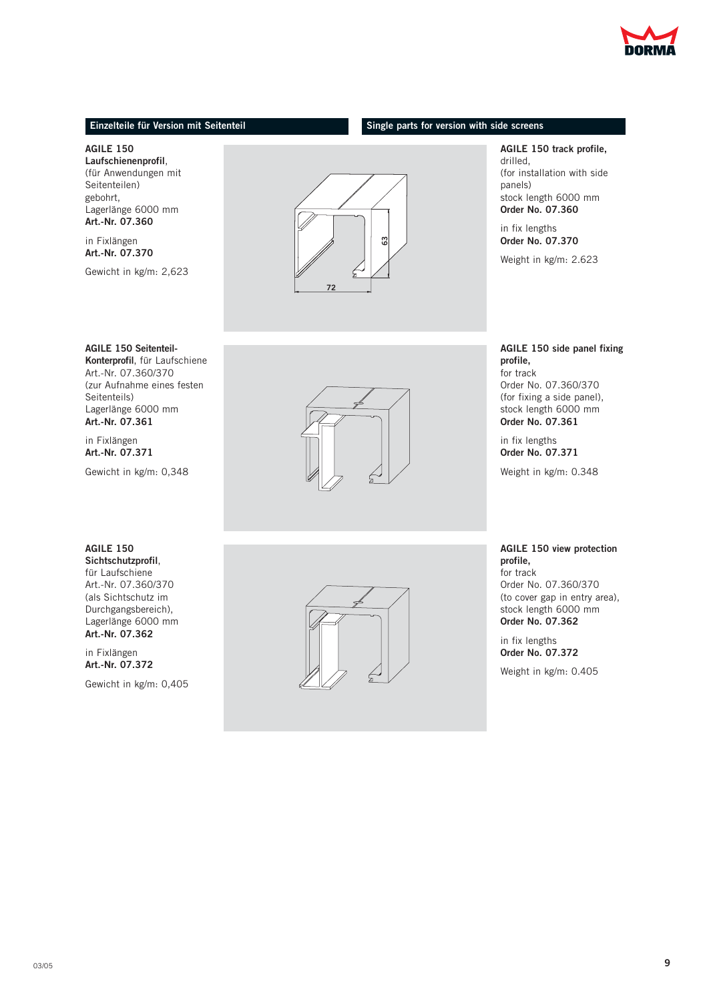

#### **Einzelteile für Version mit Seitenteil Single parts for version with side screens**

**AGILE 150 Laufschienenprofil**, (für Anwendungen mit Seitenteilen) gebohrt, Lagerlänge 6000 mm

**Art.-Nr. 07.360** in Fixlängen

**Art.-Nr. 07.370**

Gewicht in kg/m: 2,623



Seitenteils) Lagerlänge 6000 mm **Art.-Nr. 07.361**

in Fixlängen **Art.-Nr. 07.371**

Gewicht in kg/m: 0,348



**AGILE 150 track profile,**

drilled, (for installation with side panels) stock length 6000 mm **Order No. 07.360**

in fix lengths **Order No. 07.370**

Weight in kg/m: 2.623

#### **AGILE 150 side panel fixing profile,** for track Order No. 07.360/370

(for fixing a side panel), stock length 6000 mm **Order No. 07.361**

in fix lengths **Order No. 07.371**

Weight in kg/m: 0.348

#### **AGILE 150**

**Sichtschutzprofil**, für Laufschiene Art.-Nr. 07.360/370 (als Sichtschutz im Durchgangsbereich), Lagerlänge 6000 mm **Art.-Nr. 07.362**

in Fixlängen **Art.-Nr. 07.372**

Gewicht in kg/m: 0,405



**AGILE 150 view protection profile,** for track

Order No. 07.360/370 (to cover gap in entry area), stock length 6000 mm **Order No. 07.362**

in fix lengths **Order No. 07.372**

Weight in kg/m: 0.405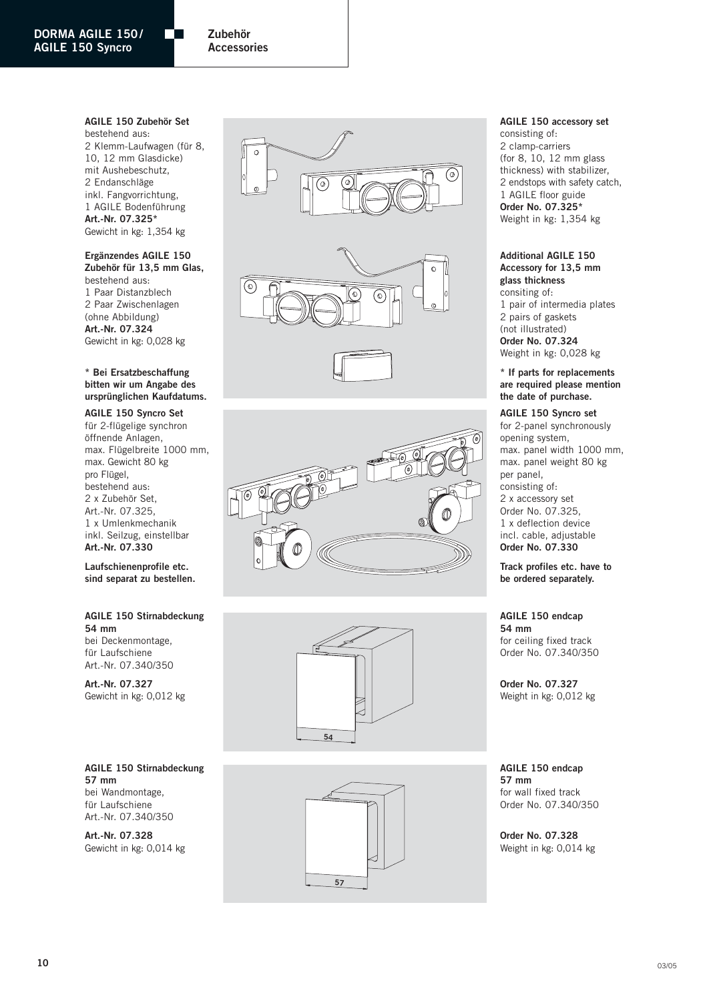**Zubehör Accessories**

#### **AGILE 150 Zubehör Set**

m.

bestehend aus: 2 Klemm-Laufwagen (für 8, 10, 12 mm Glasdicke) mit Aushebeschutz, 2 Endanschläge inkl. Fangvorrichtung, 1 AGILE Bodenführung **Art.-Nr. 07.325\*** Gewicht in kg: 1,354 kg

#### **Ergänzendes AGILE 150**

**Zubehör für 13,5 mm Glas,** bestehend aus: 1 Paar Distanzblech 2 Paar Zwischenlagen (ohne Abbildung) **Art.-Nr. 07.324** Gewicht in kg: 0,028 kg

#### **\* Bei Ersatzbeschaffung bitten wir um Angabe des ursprünglichen Kaufdatums.**

**AGILE 150 Syncro Set** für 2-flügelige synchron öffnende Anlagen, max. Flügelbreite 1000 mm, max. Gewicht 80 kg pro Flügel, bestehend aus: 2 x Zubehör Set, Art.-Nr. 07.325, 1 x Umlenkmechanik inkl. Seilzug, einstellbar **Art.-Nr. 07.330**

**Laufschienenprofile etc. sind separat zu bestellen.**

#### **AGILE 150 Stirnabdeckung 54 mm**

bei Deckenmontage, für Laufschiene Art.-Nr. 07.340/350

**Art.-Nr. 07.327** Gewicht in kg: 0,012 kg

**AGILE 150 Stirnabdeckung 57 mm** bei Wandmontage, für Laufschiene Art.-Nr. 07.340/350

**Art.-Nr. 07.328** Gewicht in kg: 0,014 kg











#### **AGILE 150 accessory set**

consisting of: 2 clamp-carriers (for 8, 10, 12 mm glass thickness) with stabilizer, 2 endstops with safety catch, 1 AGILE floor guide **Order No. 07.325\*** Weight in kg: 1,354 kg

#### **Additional AGILE 150 Accessory for 13,5 mm glass thickness**

consiting of: 1 pair of intermedia plates 2 pairs of gaskets (not illustrated) **Order No. 07.324** Weight in kg: 0,028 kg

#### **\* If parts for replacements are required please mention the date of purchase.**

**AGILE 150 Syncro set** for 2-panel synchronously opening system, max. panel width 1000 mm, max. panel weight 80 kg per panel, consisting of: 2 x accessory set Order No. 07.325, 1 x deflection device incl. cable, adjustable **Order No. 07.330**

**Track profiles etc. have to be ordered separately.**

**AGILE 150 endcap 54 mm** for ceiling fixed track Order No. 07.340/350

**Order No. 07.327** Weight in kg: 0,012 kg

**AGILE 150 endcap 57 mm** for wall fixed track Order No. 07.340/350

**Order No. 07.328** Weight in kg: 0,014 kg